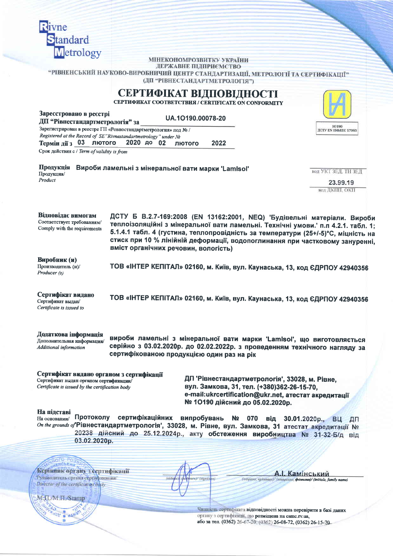| <b>Rivne</b>                                                                              |                                                                                                                                                                                                                                                                                                                                                                           |                                        |
|-------------------------------------------------------------------------------------------|---------------------------------------------------------------------------------------------------------------------------------------------------------------------------------------------------------------------------------------------------------------------------------------------------------------------------------------------------------------------------|----------------------------------------|
| Standard                                                                                  |                                                                                                                                                                                                                                                                                                                                                                           |                                        |
| Metrology                                                                                 |                                                                                                                                                                                                                                                                                                                                                                           |                                        |
|                                                                                           | МІНЕКОНОМРОЗВИТКУ УКРАЇНИ<br>ДЕРЖАВНЕ ПІДПРИЄМСТВО                                                                                                                                                                                                                                                                                                                        |                                        |
|                                                                                           | "РІВНЕНСЬКИЙ НАУКОВО-ВИРОБНИЧИЙ ЦЕНТР СТАНДАРТИЗАЦІЇ, МЕТРОЛОГІЇ ТА СЕРТИФІКАЦІЇ"<br>(ДП "РІВНЕСТАНДАРТМЕТРОЛОГІЯ")                                                                                                                                                                                                                                                       |                                        |
|                                                                                           | СЕРТИФІКАТ ВІДПОВІДНОСТІ<br>СЕРТИФИКАТ СООТВЕТСТВИЯ / CERTIFICATE ON CONFORMITY                                                                                                                                                                                                                                                                                           |                                        |
| Зареєстровано в реєстрі<br>ДП "Рівнестандартметрологія" за                                | UA.10190.00078-20                                                                                                                                                                                                                                                                                                                                                         |                                        |
|                                                                                           | Зарегистрирован в реестре ГП «Ровностандартметрология» под № /                                                                                                                                                                                                                                                                                                            | 10190<br><b>IICTY EN ISO/IEC 17065</b> |
| Термін дії з $03$<br>ЛЮТОГО                                                               | Registered at the Record of SE"Rivnestandartmetrology" under No<br>2020 до 02<br>2022<br>лютого                                                                                                                                                                                                                                                                           |                                        |
| Срок действия с / Term of validity is from                                                |                                                                                                                                                                                                                                                                                                                                                                           |                                        |
| Продукція                                                                                 | Вироби ламельні з мінеральної вати марки 'Lamisol'<br>КОД УКТ ЗЕД. ТН ЗЕД                                                                                                                                                                                                                                                                                                 |                                        |
| Продукция/<br>Product                                                                     |                                                                                                                                                                                                                                                                                                                                                                           | 23.99.19                               |
|                                                                                           | код ДКПП, ОКП                                                                                                                                                                                                                                                                                                                                                             |                                        |
| Відновідає вимогам<br>Соответствует требованиям/<br>Comply with the requirements          | ДСТУ Б В.2.7-169:2008 (EN 13162:2001, NEQ) Будівельні матеріали. Вироби<br>теплоізоляційні з мінеральної вати ламельні. Технічні умови.' п.п 4.2.1. табл. 1;<br>5.1.4.1 табл. 4 (густина, теплопровідність за температури (25+/-5)°С, міцність на<br>стиск при 10 % лінійній деформації, водопоглинання при частковому зануренні,<br>вміст органічних речовин, вологість) |                                        |
| Виробник (и)<br>Производитель (и)/                                                        | ТОВ «ІНТЕР КЕПІТАЛ» 02160, м. Київ, вул. Каунаська, 13, код ЄДРПОУ 42940356                                                                                                                                                                                                                                                                                               |                                        |
| Producer (s)                                                                              |                                                                                                                                                                                                                                                                                                                                                                           |                                        |
| Сертифікат видано<br>Сертификат выдан/<br>Certificate is issued to                        | ТОВ «ІНТЕР КЕПІТАЛ» 02160, м. Київ, вул. Каунаська, 13, код ЄДРПОУ 42940356                                                                                                                                                                                                                                                                                               |                                        |
| Додаткова інформація<br>Дополнительная информация/<br><b>Additional information</b>       | вироби ламельні з мінеральної вати марки 'Lamisol', що виготовляється<br>серійно з 03.02.2020р. до 02.02.2022р. з проведенням технічного нагляду за<br>сертифікованою продукцією один раз на рік                                                                                                                                                                          |                                        |
| Сертифікат видано органом з сертифікапії                                                  |                                                                                                                                                                                                                                                                                                                                                                           |                                        |
| Сертификат выдан органом сертификации/<br>Certificate is issued by the certification body | ДП 'Рівнестандартметрологія', 33028, м. Рівне,<br>вул. Замкова, 31, тел. (+380)362-26-15-70,                                                                                                                                                                                                                                                                              |                                        |
|                                                                                           | e-mail:ukrcertification@ukr.net, атестат акредитації<br>№ 10190 дійсний до 05.02.2020р.                                                                                                                                                                                                                                                                                   |                                        |
| На пілставі<br>Протоколу<br>На основании/                                                 | сертифікаційних випробувань № 070 від 30.01.2020р., ВЦ<br>Оп the grounds of Рівнестандартметрологія', 33028, м. Рівне, вул. Замкова, 31 атестат акредитації №                                                                                                                                                                                                             | ДП                                     |
| 03.02.2020p.                                                                              | 20238 дійсний до 25.12.2024р., акту обстеження виробництва № 31-32-Б/д від                                                                                                                                                                                                                                                                                                |                                        |
|                                                                                           |                                                                                                                                                                                                                                                                                                                                                                           |                                        |
| <b>LEMOBKHO</b>                                                                           |                                                                                                                                                                                                                                                                                                                                                                           |                                        |
| Керівник органу з сертифікації<br>Руководитель органа сертификации/                       | Камінський<br>(midrulec)<br>(hoopmes)/ (signiture)<br>(intuitant, ripismage) (unapticus, фамилия)/ (initials, family name)                                                                                                                                                                                                                                                |                                        |
| Director of the certification body                                                        |                                                                                                                                                                                                                                                                                                                                                                           |                                        |
| MAL/M.H./Stamp                                                                            |                                                                                                                                                                                                                                                                                                                                                                           |                                        |
| 水 出版                                                                                      | Чинність сертифіката відповідності можна перевірити в базі даних<br>органу з сертифіканії, що розміщена на csmc.rv.ua,                                                                                                                                                                                                                                                    |                                        |
|                                                                                           | або за тел. (0362) 26-67-20; (0362) 26-08-72, (0362) 26-15-70.                                                                                                                                                                                                                                                                                                            |                                        |
|                                                                                           |                                                                                                                                                                                                                                                                                                                                                                           |                                        |
|                                                                                           |                                                                                                                                                                                                                                                                                                                                                                           |                                        |